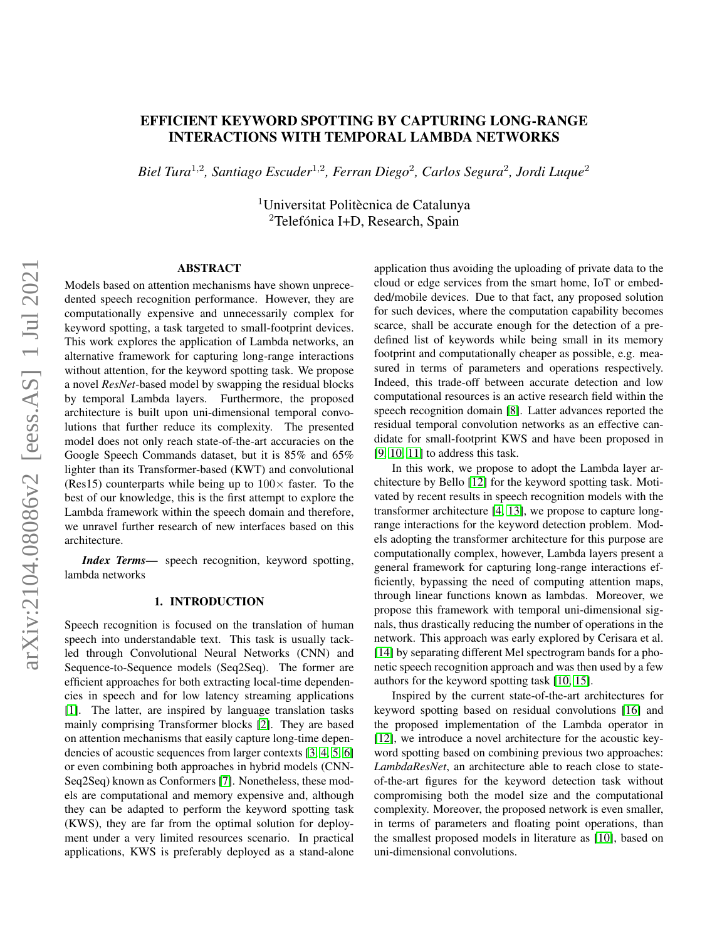# EFFICIENT KEYWORD SPOTTING BY CAPTURING LONG-RANGE INTERACTIONS WITH TEMPORAL LAMBDA NETWORKS

*Biel Tura*<sup>1</sup>,<sup>2</sup> *, Santiago Escuder*<sup>1</sup>,<sup>2</sup> *, Ferran Diego*<sup>2</sup> *, Carlos Segura*<sup>2</sup> *, Jordi Luque*<sup>2</sup>

<sup>1</sup>Universitat Politècnica de Catalunya  $2$ Telefónica I+D, Research, Spain

## ABSTRACT

Models based on attention mechanisms have shown unprecedented speech recognition performance. However, they are computationally expensive and unnecessarily complex for keyword spotting, a task targeted to small-footprint devices. This work explores the application of Lambda networks, an alternative framework for capturing long-range interactions without attention, for the keyword spotting task. We propose a novel *ResNet*-based model by swapping the residual blocks by temporal Lambda layers. Furthermore, the proposed architecture is built upon uni-dimensional temporal convolutions that further reduce its complexity. The presented model does not only reach state-of-the-art accuracies on the Google Speech Commands dataset, but it is 85% and 65% lighter than its Transformer-based (KWT) and convolutional (Res15) counterparts while being up to  $100\times$  faster. To the best of our knowledge, this is the first attempt to explore the Lambda framework within the speech domain and therefore, we unravel further research of new interfaces based on this architecture.

*Index Terms*— speech recognition, keyword spotting, lambda networks

## 1. INTRODUCTION

Speech recognition is focused on the translation of human speech into understandable text. This task is usually tackled through Convolutional Neural Networks (CNN) and Sequence-to-Sequence models (Seq2Seq). The former are efficient approaches for both extracting local-time dependencies in speech and for low latency streaming applications [\[1\]](#page-6-0). The latter, are inspired by language translation tasks mainly comprising Transformer blocks [\[2\]](#page-6-1). They are based on attention mechanisms that easily capture long-time dependencies of acoustic sequences from larger contexts [\[3,](#page-6-2) [4,](#page-6-3) [5,](#page-6-4) [6\]](#page-6-5) or even combining both approaches in hybrid models (CNN-Seq2Seq) known as Conformers [\[7\]](#page-6-6). Nonetheless, these models are computational and memory expensive and, although they can be adapted to perform the keyword spotting task (KWS), they are far from the optimal solution for deployment under a very limited resources scenario. In practical applications, KWS is preferably deployed as a stand-alone

application thus avoiding the uploading of private data to the cloud or edge services from the smart home, IoT or embedded/mobile devices. Due to that fact, any proposed solution for such devices, where the computation capability becomes scarce, shall be accurate enough for the detection of a predefined list of keywords while being small in its memory footprint and computationally cheaper as possible, e.g. measured in terms of parameters and operations respectively. Indeed, this trade-off between accurate detection and low computational resources is an active research field within the speech recognition domain [\[8\]](#page-6-7). Latter advances reported the residual temporal convolution networks as an effective candidate for small-footprint KWS and have been proposed in [\[9,](#page-6-8) [10,](#page-6-9) [11\]](#page-6-10) to address this task.

In this work, we propose to adopt the Lambda layer architecture by Bello [\[12\]](#page-6-11) for the keyword spotting task. Motivated by recent results in speech recognition models with the transformer architecture [\[4,](#page-6-3) [13\]](#page-6-12), we propose to capture longrange interactions for the keyword detection problem. Models adopting the transformer architecture for this purpose are computationally complex, however, Lambda layers present a general framework for capturing long-range interactions efficiently, bypassing the need of computing attention maps, through linear functions known as lambdas. Moreover, we propose this framework with temporal uni-dimensional signals, thus drastically reducing the number of operations in the network. This approach was early explored by Cerisara et al. [\[14\]](#page-6-13) by separating different Mel spectrogram bands for a phonetic speech recognition approach and was then used by a few authors for the keyword spotting task [\[10,](#page-6-9) [15\]](#page-6-14).

Inspired by the current state-of-the-art architectures for keyword spotting based on residual convolutions [\[16\]](#page-6-15) and the proposed implementation of the Lambda operator in [\[12\]](#page-6-11), we introduce a novel architecture for the acoustic keyword spotting based on combining previous two approaches: *LambdaResNet*, an architecture able to reach close to stateof-the-art figures for the keyword detection task without compromising both the model size and the computational complexity. Moreover, the proposed network is even smaller, in terms of parameters and floating point operations, than the smallest proposed models in literature as [\[10\]](#page-6-9), based on uni-dimensional convolutions.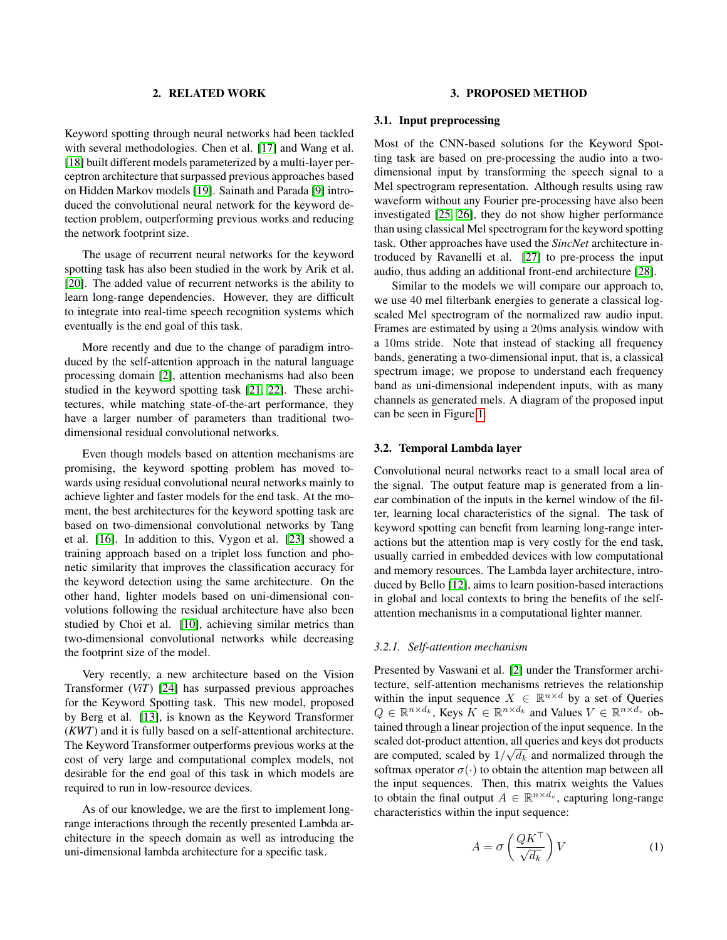## 2. RELATED WORK

Keyword spotting through neural networks had been tackled with several methodologies. Chen et al. [\[17\]](#page-6-16) and Wang et al. [\[18\]](#page-6-17) built different models parameterized by a multi-layer perceptron architecture that surpassed previous approaches based on Hidden Markov models [\[19\]](#page-6-18). Sainath and Parada [\[9\]](#page-6-8) introduced the convolutional neural network for the keyword detection problem, outperforming previous works and reducing the network footprint size.

The usage of recurrent neural networks for the keyword spotting task has also been studied in the work by Arik et al. [\[20\]](#page-6-19). The added value of recurrent networks is the ability to learn long-range dependencies. However, they are difficult to integrate into real-time speech recognition systems which eventually is the end goal of this task.

More recently and due to the change of paradigm introduced by the self-attention approach in the natural language processing domain [\[2\]](#page-6-1), attention mechanisms had also been studied in the keyword spotting task [\[21,](#page-6-20) [22\]](#page-6-21). These architectures, while matching state-of-the-art performance, they have a larger number of parameters than traditional twodimensional residual convolutional networks.

Even though models based on attention mechanisms are promising, the keyword spotting problem has moved towards using residual convolutional neural networks mainly to achieve lighter and faster models for the end task. At the moment, the best architectures for the keyword spotting task are based on two-dimensional convolutional networks by Tang et al. [\[16\]](#page-6-15). In addition to this, Vygon et al. [\[23\]](#page-7-0) showed a training approach based on a triplet loss function and phonetic similarity that improves the classification accuracy for the keyword detection using the same architecture. On the other hand, lighter models based on uni-dimensional convolutions following the residual architecture have also been studied by Choi et al. [\[10\]](#page-6-9), achieving similar metrics than two-dimensional convolutional networks while decreasing the footprint size of the model.

Very recently, a new architecture based on the Vision Transformer (*ViT*) [\[24\]](#page-7-1) has surpassed previous approaches for the Keyword Spotting task. This new model, proposed by Berg et al. [\[13\]](#page-6-12), is known as the Keyword Transformer (*KWT*) and it is fully based on a self-attentional architecture. The Keyword Transformer outperforms previous works at the cost of very large and computational complex models, not desirable for the end goal of this task in which models are required to run in low-resource devices.

As of our knowledge, we are the first to implement longrange interactions through the recently presented Lambda architecture in the speech domain as well as introducing the uni-dimensional lambda architecture for a specific task.

#### 3. PROPOSED METHOD

#### 3.1. Input preprocessing

Most of the CNN-based solutions for the Keyword Spotting task are based on pre-processing the audio into a twodimensional input by transforming the speech signal to a Mel spectrogram representation. Although results using raw waveform without any Fourier pre-processing have also been investigated [\[25,](#page-7-2) [26\]](#page-7-3), they do not show higher performance than using classical Mel spectrogram for the keyword spotting task. Other approaches have used the *SincNet* architecture introduced by Ravanelli et al. [\[27\]](#page-7-4) to pre-process the input audio, thus adding an additional front-end architecture [\[28\]](#page-7-5).

Similar to the models we will compare our approach to, we use 40 mel filterbank energies to generate a classical logscaled Mel spectrogram of the normalized raw audio input. Frames are estimated by using a 20ms analysis window with a 10ms stride. Note that instead of stacking all frequency bands, generating a two-dimensional input, that is, a classical spectrum image; we propose to understand each frequency band as uni-dimensional independent inputs, with as many channels as generated mels. A diagram of the proposed input can be seen in Figure [1.](#page-2-0)

#### 3.2. Temporal Lambda layer

Convolutional neural networks react to a small local area of the signal. The output feature map is generated from a linear combination of the inputs in the kernel window of the filter, learning local characteristics of the signal. The task of keyword spotting can benefit from learning long-range interactions but the attention map is very costly for the end task, usually carried in embedded devices with low computational and memory resources. The Lambda layer architecture, introduced by Bello [\[12\]](#page-6-11), aims to learn position-based interactions in global and local contexts to bring the benefits of the selfattention mechanisms in a computational lighter manner.

#### *3.2.1. Self-attention mechanism*

Presented by Vaswani et al. [\[2\]](#page-6-1) under the Transformer architecture, self-attention mechanisms retrieves the relationship within the input sequence  $X \in \mathbb{R}^{n \times d}$  by a set of Queries  $Q \in \mathbb{R}^{n \times d_k}$ , Keys  $K \in \mathbb{R}^{n \times d_k}$  and Values  $V \in \mathbb{R}^{n \times d_v}$  obtained through a linear projection of the input sequence. In the scaled dot-product attention, all queries and keys dot products are computed, scaled by  $1/\sqrt{d_k}$  and normalized through the softmax operator  $\sigma(\cdot)$  to obtain the attention map between all the input sequences. Then, this matrix weights the Values to obtain the final output  $A \in \mathbb{R}^{n \times d_v}$ , capturing long-range characteristics within the input sequence:

<span id="page-1-0"></span>
$$
A = \sigma \left(\frac{QK^{\top}}{\sqrt{d_k}}\right) V \tag{1}
$$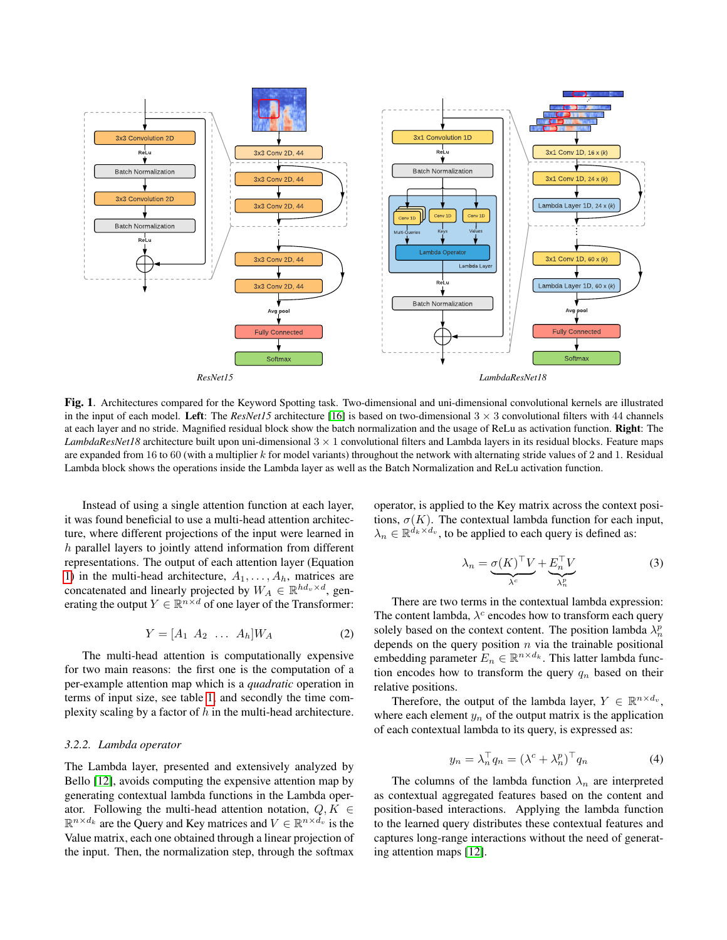

<span id="page-2-0"></span>Fig. 1. Architectures compared for the Keyword Spotting task. Two-dimensional and uni-dimensional convolutional kernels are illustrated in the input of each model. Left: The *ResNet15* architecture [\[16\]](#page-6-15) is based on two-dimensional  $3 \times 3$  convolutional filters with 44 channels at each layer and no stride. Magnified residual block show the batch normalization and the usage of ReLu as activation function. Right: The *LambdaResNet18* architecture built upon uni-dimensional  $3 \times 1$  convolutional filters and Lambda layers in its residual blocks. Feature maps are expanded from 16 to 60 (with a multiplier  $k$  for model variants) throughout the network with alternating stride values of 2 and 1. Residual Lambda block shows the operations inside the Lambda layer as well as the Batch Normalization and ReLu activation function.

Instead of using a single attention function at each layer, it was found beneficial to use a multi-head attention architecture, where different projections of the input were learned in h parallel layers to jointly attend information from different representations. The output of each attention layer (Equation [1\)](#page-1-0) in the multi-head architecture,  $A_1, \ldots, A_h$ , matrices are concatenated and linearly projected by  $W_A \in \mathbb{R}^{hd_v \times d}$ , generating the output  $Y \in \mathbb{R}^{n \times d}$  of one layer of the Transformer:

$$
Y = [A_1 \ A_2 \ \dots \ A_h] W_A \tag{2}
$$

The multi-head attention is computationally expensive for two main reasons: the first one is the computation of a per-example attention map which is a *quadratic* operation in terms of input size, see table [1,](#page-3-0) and secondly the time complexity scaling by a factor of  $h$  in the multi-head architecture.

## *3.2.2. Lambda operator*

The Lambda layer, presented and extensively analyzed by Bello [\[12\]](#page-6-11), avoids computing the expensive attention map by generating contextual lambda functions in the Lambda operator. Following the multi-head attention notation,  $Q, K \in$  $\mathbb{R}^{n \times d_k}$  are the Query and Key matrices and  $V \in \mathbb{R}^{n \times d_v}$  is the Value matrix, each one obtained through a linear projection of the input. Then, the normalization step, through the softmax

operator, is applied to the Key matrix across the context positions,  $\sigma(K)$ . The contextual lambda function for each input,  $\lambda_n \in \mathbb{R}^{\dot{d}_k \times d_v}$ , to be applied to each query is defined as:

$$
\lambda_n = \underbrace{\sigma(K)^\top V}_{\lambda^c} + \underbrace{E_n^\top V}_{\lambda_n^p} \tag{3}
$$

There are two terms in the contextual lambda expression: The content lambda,  $\lambda^c$  encodes how to transform each query solely based on the context content. The position lambda  $\lambda_n^p$ depends on the query position  $n$  via the trainable positional embedding parameter  $E_n \in \mathbb{R}^{n \times d_k}$ . This latter lambda function encodes how to transform the query  $q_n$  based on their relative positions.

Therefore, the output of the lambda layer,  $Y \in \mathbb{R}^{n \times d_v}$ , where each element  $y_n$  of the output matrix is the application of each contextual lambda to its query, is expressed as:

$$
y_n = \lambda_n^\top q_n = (\lambda^c + \lambda_n^p)^\top q_n \tag{4}
$$

The columns of the lambda function  $\lambda_n$  are interpreted as contextual aggregated features based on the content and position-based interactions. Applying the lambda function to the learned query distributes these contextual features and captures long-range interactions without the need of generating attention maps [\[12\]](#page-6-11).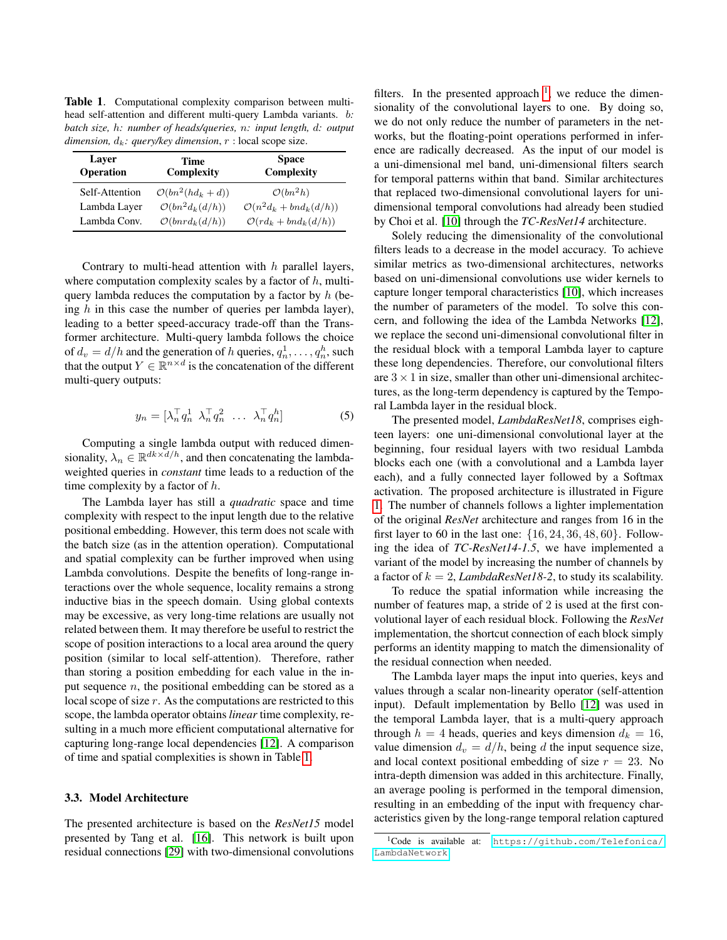<span id="page-3-0"></span>Table 1. Computational complexity comparison between multihead self-attention and different multi-query Lambda variants. b*: batch size,* h*: number of heads/queries,* n*: input length,* d*: output dimension,*  $d_k$ : *query/key dimension,*  $r$  : local scope size.

| Layer<br>Operation | Time<br>Complexity          | <b>Space</b><br>Complexity           |  |  |
|--------------------|-----------------------------|--------------------------------------|--|--|
| Self-Attention     | $\mathcal{O}(bn^2(hd_k+d))$ | $\mathcal{O}(bn^2h)$                 |  |  |
| Lambda Layer       | $\mathcal{O}(bn^2d_k(d/h))$ | $\mathcal{O}(n^2d_k + bnd_k(d/h))$   |  |  |
| Lambda Conv.       | $\mathcal{O}(bnrd_k(d/h))$  | $\mathcal{O}(r d_k + b n d_k (d/h))$ |  |  |

Contrary to multi-head attention with  $h$  parallel layers, where computation complexity scales by a factor of  $h$ , multiquery lambda reduces the computation by a factor by  $h$  (being  $h$  in this case the number of queries per lambda layer), leading to a better speed-accuracy trade-off than the Transformer architecture. Multi-query lambda follows the choice of  $d_v = d/h$  and the generation of h queries,  $q_n^1, \ldots, q_n^h$ , such that the output  $Y \in \mathbb{R}^{n \times d}$  is the concatenation of the different multi-query outputs:

$$
y_n = \begin{bmatrix} \lambda_n^\top q_n^1 & \lambda_n^\top q_n^2 & \dots & \lambda_n^\top q_n^h \end{bmatrix} \tag{5}
$$

Computing a single lambda output with reduced dimensionality,  $\lambda_n \in \mathbb{R}^{dk \times \overline{d}/h}$ , and then concatenating the lambdaweighted queries in *constant* time leads to a reduction of the time complexity by a factor of  $h$ .

The Lambda layer has still a *quadratic* space and time complexity with respect to the input length due to the relative positional embedding. However, this term does not scale with the batch size (as in the attention operation). Computational and spatial complexity can be further improved when using Lambda convolutions. Despite the benefits of long-range interactions over the whole sequence, locality remains a strong inductive bias in the speech domain. Using global contexts may be excessive, as very long-time relations are usually not related between them. It may therefore be useful to restrict the scope of position interactions to a local area around the query position (similar to local self-attention). Therefore, rather than storing a position embedding for each value in the input sequence  $n$ , the positional embedding can be stored as a local scope of size r. As the computations are restricted to this scope, the lambda operator obtains *linear* time complexity, resulting in a much more efficient computational alternative for capturing long-range local dependencies [\[12\]](#page-6-11). A comparison of time and spatial complexities is shown in Table [1.](#page-3-0)

## 3.3. Model Architecture

The presented architecture is based on the *ResNet15* model presented by Tang et al. [\[16\]](#page-6-15). This network is built upon residual connections [\[29\]](#page-7-6) with two-dimensional convolutions

filters. In the presented approach  $\frac{1}{1}$  $\frac{1}{1}$  $\frac{1}{1}$ , we reduce the dimensionality of the convolutional layers to one. By doing so, we do not only reduce the number of parameters in the networks, but the floating-point operations performed in inference are radically decreased. As the input of our model is a uni-dimensional mel band, uni-dimensional filters search for temporal patterns within that band. Similar architectures that replaced two-dimensional convolutional layers for unidimensional temporal convolutions had already been studied by Choi et al. [\[10\]](#page-6-9) through the *TC-ResNet14* architecture.

Solely reducing the dimensionality of the convolutional filters leads to a decrease in the model accuracy. To achieve similar metrics as two-dimensional architectures, networks based on uni-dimensional convolutions use wider kernels to capture longer temporal characteristics [\[10\]](#page-6-9), which increases the number of parameters of the model. To solve this concern, and following the idea of the Lambda Networks [\[12\]](#page-6-11), we replace the second uni-dimensional convolutional filter in the residual block with a temporal Lambda layer to capture these long dependencies. Therefore, our convolutional filters are  $3 \times 1$  in size, smaller than other uni-dimensional architectures, as the long-term dependency is captured by the Temporal Lambda layer in the residual block.

The presented model, *LambdaResNet18*, comprises eighteen layers: one uni-dimensional convolutional layer at the beginning, four residual layers with two residual Lambda blocks each one (with a convolutional and a Lambda layer each), and a fully connected layer followed by a Softmax activation. The proposed architecture is illustrated in Figure [1.](#page-2-0) The number of channels follows a lighter implementation of the original *ResNet* architecture and ranges from 16 in the first layer to 60 in the last one:  $\{16, 24, 36, 48, 60\}$ . Following the idea of *TC-ResNet14-1.5*, we have implemented a variant of the model by increasing the number of channels by a factor of  $k = 2$ , *LambdaResNet18-2*, to study its scalability.

To reduce the spatial information while increasing the number of features map, a stride of 2 is used at the first convolutional layer of each residual block. Following the *ResNet* implementation, the shortcut connection of each block simply performs an identity mapping to match the dimensionality of the residual connection when needed.

The Lambda layer maps the input into queries, keys and values through a scalar non-linearity operator (self-attention input). Default implementation by Bello [\[12\]](#page-6-11) was used in the temporal Lambda layer, that is a multi-query approach through  $h = 4$  heads, queries and keys dimension  $d_k = 16$ , value dimension  $d_v = d/h$ , being d the input sequence size, and local context positional embedding of size  $r = 23$ . No intra-depth dimension was added in this architecture. Finally, an average pooling is performed in the temporal dimension, resulting in an embedding of the input with frequency characteristics given by the long-range temporal relation captured

<span id="page-3-1"></span><sup>1</sup>Code is available at: [https://github.com/Telefonica/](https://github.com/Telefonica/LambdaNetwork) [LambdaNetwork](https://github.com/Telefonica/LambdaNetwork)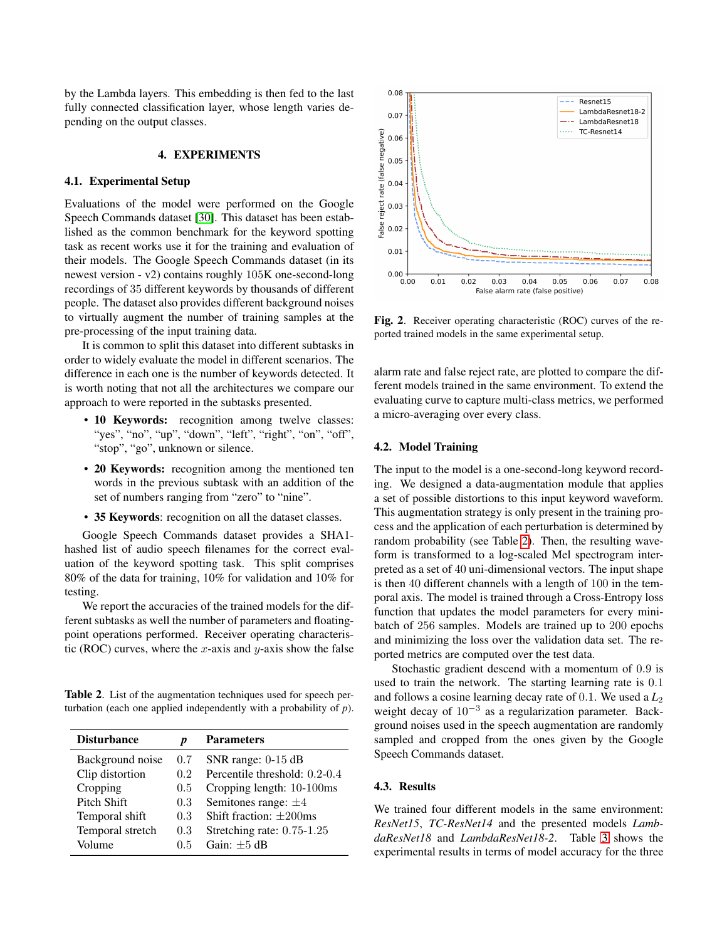by the Lambda layers. This embedding is then fed to the last fully connected classification layer, whose length varies depending on the output classes.

#### 4. EXPERIMENTS

## 4.1. Experimental Setup

Evaluations of the model were performed on the Google Speech Commands dataset [\[30\]](#page-7-7). This dataset has been established as the common benchmark for the keyword spotting task as recent works use it for the training and evaluation of their models. The Google Speech Commands dataset (in its newest version - v2) contains roughly 105K one-second-long recordings of 35 different keywords by thousands of different people. The dataset also provides different background noises to virtually augment the number of training samples at the pre-processing of the input training data.

It is common to split this dataset into different subtasks in order to widely evaluate the model in different scenarios. The difference in each one is the number of keywords detected. It is worth noting that not all the architectures we compare our approach to were reported in the subtasks presented.

- 10 Keywords: recognition among twelve classes: "yes", "no", "up", "down", "left", "right", "on", "off", "stop", "go", unknown or silence.
- 20 Keywords: recognition among the mentioned ten words in the previous subtask with an addition of the set of numbers ranging from "zero" to "nine".
- 35 Keywords: recognition on all the dataset classes.

Google Speech Commands dataset provides a SHA1 hashed list of audio speech filenames for the correct evaluation of the keyword spotting task. This split comprises 80% of the data for training, 10% for validation and 10% for testing.

We report the accuracies of the trained models for the different subtasks as well the number of parameters and floatingpoint operations performed. Receiver operating characteristic (ROC) curves, where the x-axis and y-axis show the false

<span id="page-4-0"></span>Table 2. List of the augmentation techniques used for speech perturbation (each one applied independently with a probability of *p*).

| <b>Disturbance</b> |         | <b>Parameters</b>             |  |
|--------------------|---------|-------------------------------|--|
| Background noise   | $0.7\,$ | SNR range: $0-15$ dB          |  |
| Clip distortion    | 0.2     | Percentile threshold: 0.2-0.4 |  |
| Cropping           | 0.5     | Cropping length: 10-100ms     |  |
| Pitch Shift        | 0.3     | Semitones range: $\pm 4$      |  |
| Temporal shift     | 0.3     | Shift fraction: $\pm 200$ ms  |  |
| Temporal stretch   | 0.3     | Stretching rate: 0.75-1.25    |  |
| Volume             | 0.5     | Gain: $\pm 5$ dB              |  |



<span id="page-4-1"></span>Fig. 2. Receiver operating characteristic (ROC) curves of the reported trained models in the same experimental setup.

alarm rate and false reject rate, are plotted to compare the different models trained in the same environment. To extend the evaluating curve to capture multi-class metrics, we performed a micro-averaging over every class.

#### 4.2. Model Training

The input to the model is a one-second-long keyword recording. We designed a data-augmentation module that applies a set of possible distortions to this input keyword waveform. This augmentation strategy is only present in the training process and the application of each perturbation is determined by random probability (see Table [2\)](#page-4-0). Then, the resulting waveform is transformed to a log-scaled Mel spectrogram interpreted as a set of 40 uni-dimensional vectors. The input shape is then 40 different channels with a length of 100 in the temporal axis. The model is trained through a Cross-Entropy loss function that updates the model parameters for every minibatch of 256 samples. Models are trained up to 200 epochs and minimizing the loss over the validation data set. The reported metrics are computed over the test data.

Stochastic gradient descend with a momentum of 0.9 is used to train the network. The starting learning rate is 0.1 and follows a cosine learning decay rate of 0.1. We used a  $L_2$ weight decay of  $10^{-3}$  as a regularization parameter. Background noises used in the speech augmentation are randomly sampled and cropped from the ones given by the Google Speech Commands dataset.

## 4.3. Results

We trained four different models in the same environment: *ResNet15*, *TC-ResNet14* and the presented models *LambdaResNet18* and *LambdaResNet18-2*. Table [3](#page-5-0) shows the experimental results in terms of model accuracy for the three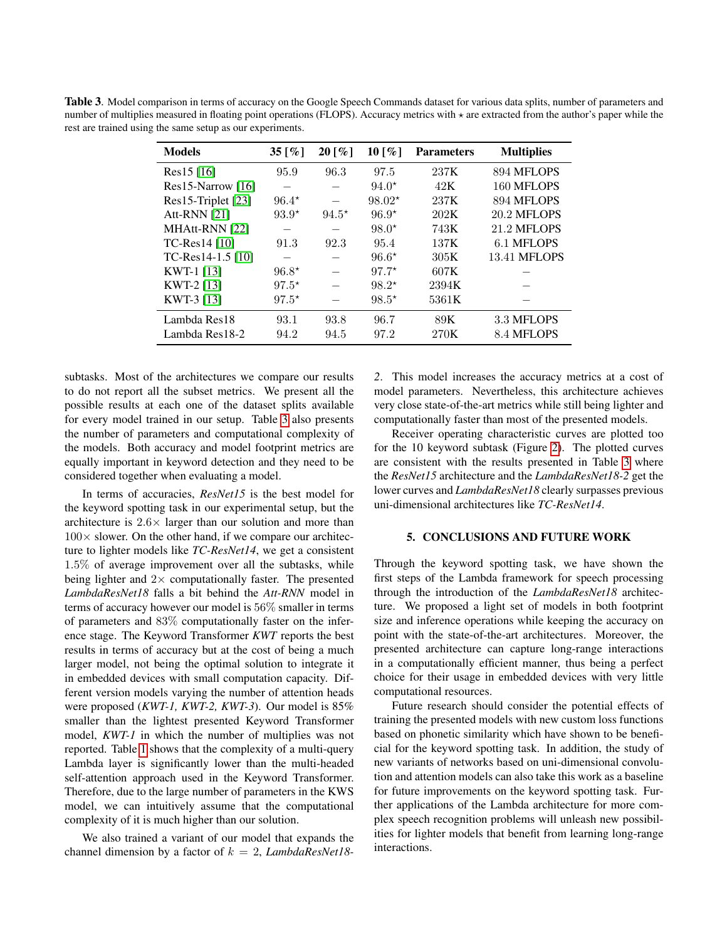<span id="page-5-0"></span>Table 3. Model comparison in terms of accuracy on the Google Speech Commands dataset for various data splits, number of parameters and number of multiplies measured in floating point operations (FLOPS). Accuracy metrics with  $\star$  are extracted from the author's paper while the rest are trained using the same setup as our experiments.

| <b>Models</b>       | 35 [\%e \motild \motild \motild \motild \motild \motild \motild \motild \motild \motild \motild \motild \motild \motild \motild \motild \motild \motild \motild \motild \motild \motild \motild \motild \motild \motild \moti | $20\,[\%]$ | 10 [%]   | <b>Parameters</b> | <b>Multiplies</b>   |
|---------------------|-------------------------------------------------------------------------------------------------------------------------------------------------------------------------------------------------------------------------------|------------|----------|-------------------|---------------------|
| $Res15$ [16]        | 95.9                                                                                                                                                                                                                          | 96.3       | 97.5     | 237K              | 894 MFLOPS          |
| $Res15-Narrow$ [16] |                                                                                                                                                                                                                               |            | $94.0*$  | 42K               | 160 MFLOPS          |
| Res15-Triplet [23]  | $96.4*$                                                                                                                                                                                                                       |            | $98.02*$ | 237K              | 894 MFLOPS          |
| <b>Att-RNN</b> [21] | $93.9*$                                                                                                                                                                                                                       | $94.5*$    | $96.9*$  | 202K              | <b>20.2 MFLOPS</b>  |
| MHAtt-RNN [22]      |                                                                                                                                                                                                                               |            | $98.0*$  | 743K              | <b>21.2 MFLOPS</b>  |
| $TC$ -Res $14$ [10] | 91.3                                                                                                                                                                                                                          | 92.3       | 95.4     | 137K              | 6.1 MFLOPS          |
| TC-Res14-1.5 $[10]$ |                                                                                                                                                                                                                               |            | $96.6*$  | 305K              | <b>13.41 MFLOPS</b> |
| KWT-1 [13]          | $96.8*$                                                                                                                                                                                                                       |            | $97.7*$  | 607K              |                     |
| KWT-2 [13]          | $97.5*$                                                                                                                                                                                                                       |            | $98.2*$  | 2394K             |                     |
| KWT-3 [13]          | $97.5*$                                                                                                                                                                                                                       |            | $98.5*$  | 5361K             |                     |
| Lambda Res18        | 93.1                                                                                                                                                                                                                          | 93.8       | 96.7     | 89K               | 3.3 MFLOPS          |
| Lambda Res18-2      | 94.2                                                                                                                                                                                                                          | 94.5       | 97.2     | 270K              | 8.4 MFLOPS          |

subtasks. Most of the architectures we compare our results to do not report all the subset metrics. We present all the possible results at each one of the dataset splits available for every model trained in our setup. Table [3](#page-5-0) also presents the number of parameters and computational complexity of the models. Both accuracy and model footprint metrics are equally important in keyword detection and they need to be considered together when evaluating a model.

In terms of accuracies, *ResNet15* is the best model for the keyword spotting task in our experimental setup, but the architecture is  $2.6 \times$  larger than our solution and more than  $100\times$  slower. On the other hand, if we compare our architecture to lighter models like *TC-ResNet14*, we get a consistent 1.5% of average improvement over all the subtasks, while being lighter and  $2 \times$  computationally faster. The presented *LambdaResNet18* falls a bit behind the *Att-RNN* model in terms of accuracy however our model is 56% smaller in terms of parameters and 83% computationally faster on the inference stage. The Keyword Transformer *KWT* reports the best results in terms of accuracy but at the cost of being a much larger model, not being the optimal solution to integrate it in embedded devices with small computation capacity. Different version models varying the number of attention heads were proposed (*KWT-1, KWT-2, KWT-3*). Our model is 85% smaller than the lightest presented Keyword Transformer model, *KWT-1* in which the number of multiplies was not reported. Table [1](#page-3-0) shows that the complexity of a multi-query Lambda layer is significantly lower than the multi-headed self-attention approach used in the Keyword Transformer. Therefore, due to the large number of parameters in the KWS model, we can intuitively assume that the computational complexity of it is much higher than our solution.

We also trained a variant of our model that expands the channel dimension by a factor of k = 2, *LambdaResNet18-* *2*. This model increases the accuracy metrics at a cost of model parameters. Nevertheless, this architecture achieves very close state-of-the-art metrics while still being lighter and computationally faster than most of the presented models.

Receiver operating characteristic curves are plotted too for the 10 keyword subtask (Figure [2\)](#page-4-1). The plotted curves are consistent with the results presented in Table [3](#page-5-0) where the *ResNet15* architecture and the *LambdaResNet18-2* get the lower curves and *LambdaResNet18* clearly surpasses previous uni-dimensional architectures like *TC-ResNet14*.

#### 5. CONCLUSIONS AND FUTURE WORK

Through the keyword spotting task, we have shown the first steps of the Lambda framework for speech processing through the introduction of the *LambdaResNet18* architecture. We proposed a light set of models in both footprint size and inference operations while keeping the accuracy on point with the state-of-the-art architectures. Moreover, the presented architecture can capture long-range interactions in a computationally efficient manner, thus being a perfect choice for their usage in embedded devices with very little computational resources.

Future research should consider the potential effects of training the presented models with new custom loss functions based on phonetic similarity which have shown to be beneficial for the keyword spotting task. In addition, the study of new variants of networks based on uni-dimensional convolution and attention models can also take this work as a baseline for future improvements on the keyword spotting task. Further applications of the Lambda architecture for more complex speech recognition problems will unleash new possibilities for lighter models that benefit from learning long-range interactions.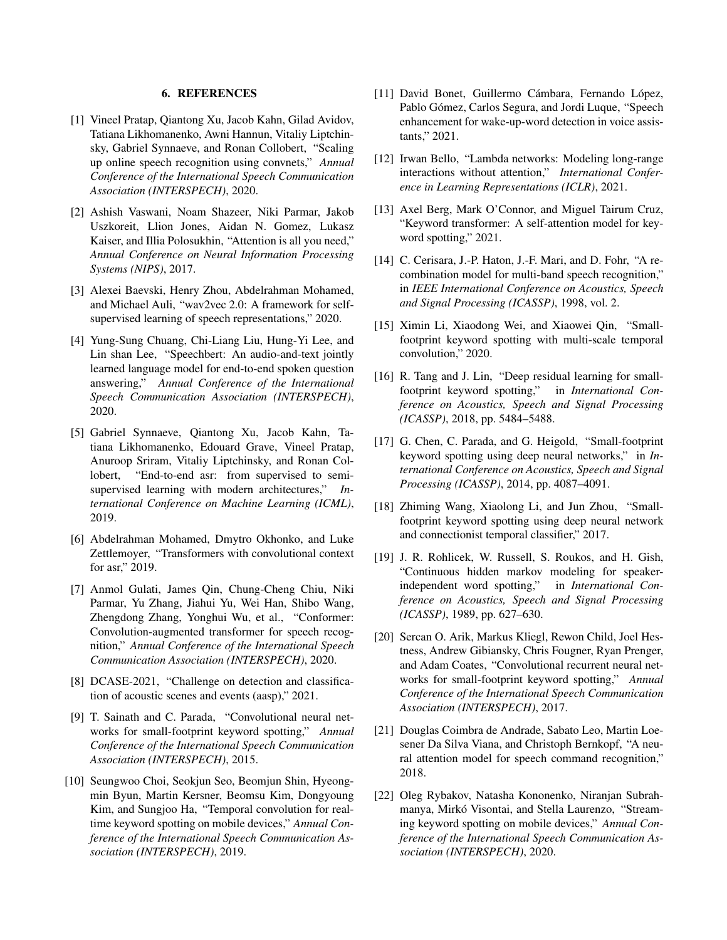## 6. REFERENCES

- <span id="page-6-0"></span>[1] Vineel Pratap, Qiantong Xu, Jacob Kahn, Gilad Avidov, Tatiana Likhomanenko, Awni Hannun, Vitaliy Liptchinsky, Gabriel Synnaeve, and Ronan Collobert, "Scaling up online speech recognition using convnets," *Annual Conference of the International Speech Communication Association (INTERSPECH)*, 2020.
- <span id="page-6-1"></span>[2] Ashish Vaswani, Noam Shazeer, Niki Parmar, Jakob Uszkoreit, Llion Jones, Aidan N. Gomez, Lukasz Kaiser, and Illia Polosukhin, "Attention is all you need," *Annual Conference on Neural Information Processing Systems (NIPS)*, 2017.
- <span id="page-6-2"></span>[3] Alexei Baevski, Henry Zhou, Abdelrahman Mohamed, and Michael Auli, "wav2vec 2.0: A framework for selfsupervised learning of speech representations," 2020.
- <span id="page-6-3"></span>[4] Yung-Sung Chuang, Chi-Liang Liu, Hung-Yi Lee, and Lin shan Lee, "Speechbert: An audio-and-text jointly learned language model for end-to-end spoken question answering," *Annual Conference of the International Speech Communication Association (INTERSPECH)*, 2020.
- <span id="page-6-4"></span>[5] Gabriel Synnaeve, Qiantong Xu, Jacob Kahn, Tatiana Likhomanenko, Edouard Grave, Vineel Pratap, Anuroop Sriram, Vitaliy Liptchinsky, and Ronan Collobert, "End-to-end asr: from supervised to semisupervised learning with modern architectures," *International Conference on Machine Learning (ICML)*, 2019.
- <span id="page-6-5"></span>[6] Abdelrahman Mohamed, Dmytro Okhonko, and Luke Zettlemoyer, "Transformers with convolutional context for asr," 2019.
- <span id="page-6-6"></span>[7] Anmol Gulati, James Qin, Chung-Cheng Chiu, Niki Parmar, Yu Zhang, Jiahui Yu, Wei Han, Shibo Wang, Zhengdong Zhang, Yonghui Wu, et al., "Conformer: Convolution-augmented transformer for speech recognition," *Annual Conference of the International Speech Communication Association (INTERSPECH)*, 2020.
- <span id="page-6-7"></span>[8] DCASE-2021, "Challenge on detection and classification of acoustic scenes and events (aasp)," 2021.
- <span id="page-6-8"></span>[9] T. Sainath and C. Parada, "Convolutional neural networks for small-footprint keyword spotting," *Annual Conference of the International Speech Communication Association (INTERSPECH)*, 2015.
- <span id="page-6-9"></span>[10] Seungwoo Choi, Seokjun Seo, Beomjun Shin, Hyeongmin Byun, Martin Kersner, Beomsu Kim, Dongyoung Kim, and Sungjoo Ha, "Temporal convolution for realtime keyword spotting on mobile devices," *Annual Conference of the International Speech Communication Association (INTERSPECH)*, 2019.
- <span id="page-6-10"></span>[11] David Bonet, Guillermo Cámbara, Fernando López, Pablo Gómez, Carlos Segura, and Jordi Luque, "Speech enhancement for wake-up-word detection in voice assistants," 2021.
- <span id="page-6-11"></span>[12] Irwan Bello, "Lambda networks: Modeling long-range interactions without attention," *International Conference in Learning Representations (ICLR)*, 2021.
- <span id="page-6-12"></span>[13] Axel Berg, Mark O'Connor, and Miguel Tairum Cruz, "Keyword transformer: A self-attention model for keyword spotting," 2021.
- <span id="page-6-13"></span>[14] C. Cerisara, J.-P. Haton, J.-F. Mari, and D. Fohr, "A recombination model for multi-band speech recognition," in *IEEE International Conference on Acoustics, Speech and Signal Processing (ICASSP)*, 1998, vol. 2.
- <span id="page-6-14"></span>[15] Ximin Li, Xiaodong Wei, and Xiaowei Qin, "Smallfootprint keyword spotting with multi-scale temporal convolution," 2020.
- <span id="page-6-15"></span>[16] R. Tang and J. Lin, "Deep residual learning for smallfootprint keyword spotting," in *International Conference on Acoustics, Speech and Signal Processing (ICASSP)*, 2018, pp. 5484–5488.
- <span id="page-6-16"></span>[17] G. Chen, C. Parada, and G. Heigold, "Small-footprint" keyword spotting using deep neural networks," in *International Conference on Acoustics, Speech and Signal Processing (ICASSP)*, 2014, pp. 4087–4091.
- <span id="page-6-17"></span>[18] Zhiming Wang, Xiaolong Li, and Jun Zhou, "Smallfootprint keyword spotting using deep neural network and connectionist temporal classifier," 2017.
- <span id="page-6-18"></span>[19] J. R. Rohlicek, W. Russell, S. Roukos, and H. Gish, "Continuous hidden markov modeling for speakerindependent word spotting," in *International Conference on Acoustics, Speech and Signal Processing (ICASSP)*, 1989, pp. 627–630.
- <span id="page-6-19"></span>[20] Sercan O. Arik, Markus Kliegl, Rewon Child, Joel Hestness, Andrew Gibiansky, Chris Fougner, Ryan Prenger, and Adam Coates, "Convolutional recurrent neural networks for small-footprint keyword spotting," *Annual Conference of the International Speech Communication Association (INTERSPECH)*, 2017.
- <span id="page-6-20"></span>[21] Douglas Coimbra de Andrade, Sabato Leo, Martin Loesener Da Silva Viana, and Christoph Bernkopf, "A neural attention model for speech command recognition," 2018.
- <span id="page-6-21"></span>[22] Oleg Rybakov, Natasha Kononenko, Niranjan Subrahmanya, Mirkó Visontai, and Stella Laurenzo, "Streaming keyword spotting on mobile devices," *Annual Conference of the International Speech Communication Association (INTERSPECH)*, 2020.